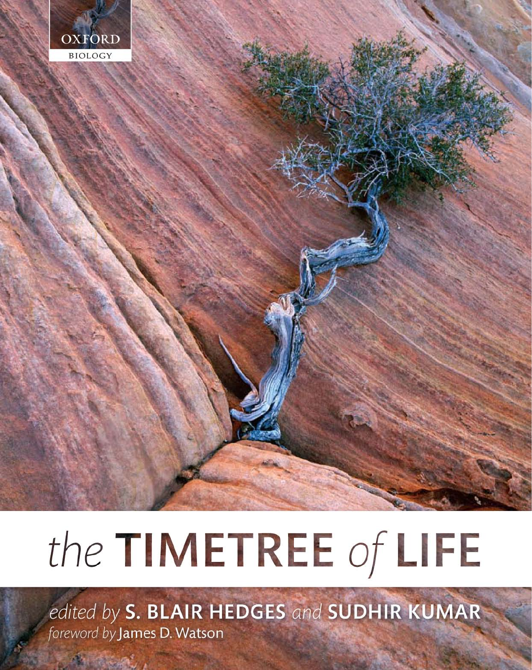

# the TIMETREE of LIFE

edited by S. BLAIR HEDGES and SUDHIR KUMAR foreword by James D. Watson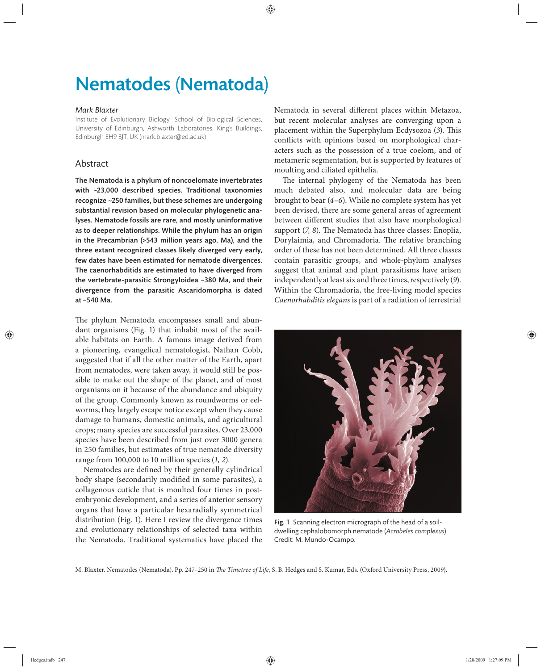# Nematodes (Nematoda)

#### *Mark Blaxter*

Institute of Evolutionary Biology, School of Biological Sciences, University of Edinburgh, Ashworth Laboratories, King's Buildings, Edinburgh EH9 3JT, UK (mark.blaxter@ed.ac.uk)

## Abstract

The Nematoda is a phylum of noncoelomate invertebrates with  $\sim$ 23,000 described species. Traditional taxonomies recognize ~250 families, but these schemes are undergoing substantial revision based on molecular phylogenetic analyses. Nematode fossils are rare, and mostly uninformative as to deeper relationships. While the phylum has an origin in the Precambrian  $($ >543 million years ago, Ma), and the three extant recognized classes likely diverged very early, few dates have been estimated for nematode divergences. The caenorhabditids are estimated to have diverged from the vertebrate-parasitic Strongyloidea ~380 Ma, and their divergence from the parasitic Ascaridomorpha is dated at ~540 Ma.

The phylum Nematoda encompasses small and abundant organisms (Fig. 1) that inhabit most of the available habitats on Earth. A famous image derived from a pioneering, evangelical nematologist, Nathan Cobb, suggested that if all the other matter of the Earth, apart from nematodes, were taken away, it would still be possible to make out the shape of the planet, and of most organisms on it because of the abundance and ubiquity of the group. Commonly known as roundworms or eelworms, they largely escape notice except when they cause damage to humans, domestic animals, and agricultural crops; many species are successful parasites. Over 23,000 species have been described from just over 3000 genera in 250 families, but estimates of true nematode diversity range from 100,000 to 10 million species (*1, 2*).

Nematodes are defined by their generally cylindrical body shape (secondarily modified in some parasites), a collagenous cuticle that is moulted four times in postembryonic development, and a series of anterior sensory organs that have a particular hexaradially symmetrical distribution (Fig. 1). Here I review the divergence times and evolutionary relationships of selected taxa within the Nematoda. Traditional systematics have placed the

Nematoda in several different places within Metazoa, but recent molecular analyses are converging upon a placement within the Superphylum Ecdysozoa (3). This conflicts with opinions based on morphological characters such as the possession of a true coelom, and of metameric segmentation, but is supported by features of moulting and ciliated epithelia.

The internal phylogeny of the Nematoda has been much debated also, and molecular data are being brought to bear (*4–6*). While no complete system has yet been devised, there are some general areas of agreement between different studies that also have morphological support (7, 8). The Nematoda has three classes: Enoplia, Dorylaimia, and Chromadoria. The relative branching order of these has not been determined. All three classes contain parasitic groups, and whole-phylum analyses suggest that animal and plant parasitisms have arisen independently at least six and three times, respectively (*9*). Within the Chromadoria, the free-living model species *Caenorhabditis elegans* is part of a radiation of terrestrial



Fig. 1 Scanning electron micrograph of the head of a soildwelling cephalobomorph nematode (*Acrobeles complexus*). Credit: M. Mundo-Ocampo.

M. Blaxter. Nematodes (Nematoda). Pp. 247-250 in *The Timetree of Life*, S. B. Hedges and S. Kumar, Eds. (Oxford University Press, 2009).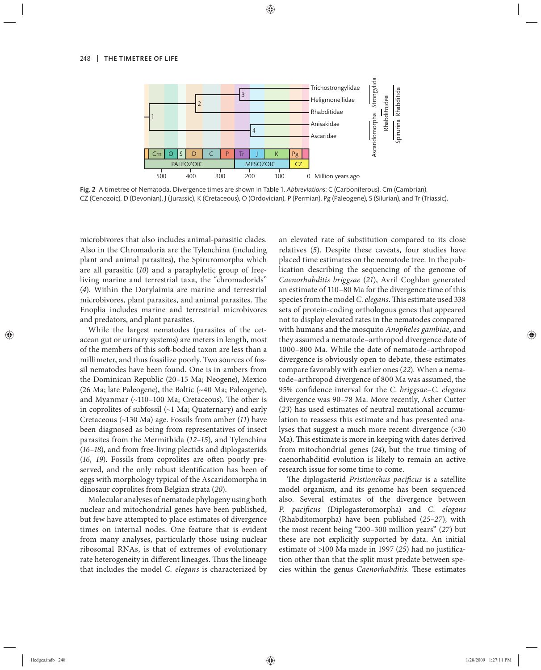

Fig. 2 A timetree of Nematoda. Divergence times are shown in Table 1. *Abbreviations*: C (Carboniferous), Cm (Cambrian), CZ (Cenozoic), D (Devonian), J (Jurassic), K (Cretaceous), O (Ordovician), P (Permian), Pg (Paleogene), S (Silurian), and Tr (Triassic).

microbivores that also includes animal-parasitic clades. Also in the Chromadoria are the Tylenchina (including plant and animal parasites), the Spiruromorpha which are all parasitic (*10*) and a paraphyletic group of freeliving marine and terrestrial taxa, the "chromadorids" (*4*). Within the Dorylaimia are marine and terrestrial microbivores, plant parasites, and animal parasites. The Enoplia includes marine and terrestrial microbivores and predators, and plant parasites.

While the largest nematodes (parasites of the cetacean gut or urinary systems) are meters in length, most of the members of this soft-bodied taxon are less than a millimeter, and thus fossilize poorly. Two sources of fossil nematodes have been found. One is in ambers from the Dominican Republic (20–15 Ma; Neogene), Mexico (26 Ma; late Paleogene), the Baltic (~40 Ma; Paleogene), and Myanmar  $(\sim 110 - 100$  Ma; Cretaceous). The other is in coprolites of subfossil (~1 Ma; Quaternary) and early Cretaceous (~130 Ma) age. Fossils from amber (*11*) have been diagnosed as being from representatives of insect parasites from the Mermithida (*12–15*), and Tylenchina (*16–18*), and from free-living plectids and diplogasterids (16, 19). Fossils from coprolites are often poorly preserved, and the only robust identification has been of eggs with morphology typical of the Ascaridomorpha in dinosaur coprolites from Belgian strata (*20*).

Molecular analyses of nematode phylogeny using both nuclear and mitochondrial genes have been published, but few have attempted to place estimates of divergence times on internal nodes. One feature that is evident from many analyses, particularly those using nuclear ribosomal RNAs, is that of extremes of evolutionary rate heterogeneity in different lineages. Thus the lineage that includes the model *C. elegans* is characterized by an elevated rate of substitution compared to its close relatives (*5*). Despite these caveats, four studies have placed time estimates on the nematode tree. In the publication describing the sequencing of the genome of *Caenorhabditis briggsae* (*21*), Avril Coghlan generated an estimate of 110–80 Ma for the divergence time of this species from the model *C. elegans*. This estimate used 338 sets of protein-coding orthologous genes that appeared not to display elevated rates in the nematodes compared with humans and the mosquito *Anopheles gambiae*, and they assumed a nematode–arthropod divergence date of 1000–800 Ma. While the date of nematode–arthropod divergence is obviously open to debate, these estimates compare favorably with earlier ones (*22*). When a nematode–arthropod divergence of 800 Ma was assumed, the 95% confidence interval for the *C. briggsae*-*C. elegans* divergence was 90–78 Ma. More recently, Asher Cutter (*23*) has used estimates of neutral mutational accumulation to reassess this estimate and has presented analyses that suggest a much more recent divergence (<30 Ma). This estimate is more in keeping with dates derived from mitochondrial genes (*24*), but the true timing of caenorhabditid evolution is likely to remain an active research issue for some time to come.

The diplogasterid *Pristionchus pacificus* is a satellite model organism, and its genome has been sequenced also. Several estimates of the divergence between *P. pacificus* (Diplogasteromorpha) and *C. elegans* (Rhabditomorpha) have been published (*25–27*), with the most recent being "200–300 million years" (*27*) but these are not explicitly supported by data. An initial estimate of >100 Ma made in 1997 (25) had no justification other than that the split must predate between species within the genus *Caenorhabditis*. These estimates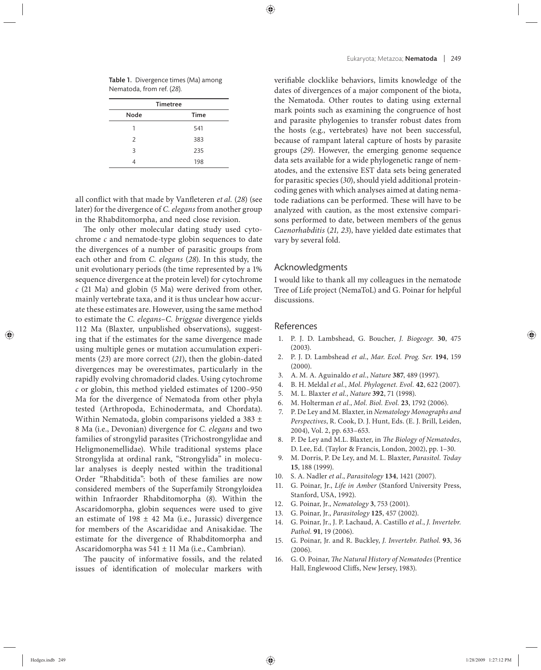Table 1. Divergence times (Ma) among Nematoda, from ref. (*28*).

| <b>Timetree</b> |             |
|-----------------|-------------|
| Node            | <b>Time</b> |
|                 | 541         |
| $\mathcal{P}$   | 383         |
| 3               | 235         |
|                 | 198         |

all conflict with that made by Vanfleteren et al. (28) (see later) for the divergence of *C. elegans* from another group in the Rhabditomorpha, and need close revision.

The only other molecular dating study used cytochrome *c* and nematode-type globin sequences to date the divergences of a number of parasitic groups from each other and from *C. elegans* (*28*). In this study, the unit evolutionary periods (the time represented by a 1% sequence divergence at the protein level) for cytochrome *c* (21 Ma) and globin (5 Ma) were derived from other, mainly vertebrate taxa, and it is thus unclear how accurate these estimates are. However, using the same method to estimate the *C. elegans*–*C. briggsae* divergence yields 112 Ma (Blaxter, unpublished observations), suggesting that if the estimates for the same divergence made using multiple genes or mutation accumulation experiments (*23*) are more correct (*21*), then the globin-dated divergences may be overestimates, particularly in the rapidly evolving chromadorid clades. Using cytochrome *c* or globin, this method yielded estimates of 1200–950 Ma for the divergence of Nematoda from other phyla tested (Arthropoda, Echinodermata, and Chordata). Within Nematoda, globin comparisons yielded a 383 ± 8 Ma (i.e., Devonian) divergence for *C. elegans* and two families of strongylid parasites (Trichostrongylidae and Heligmonemellidae). While traditional systems place Strongylida at ordinal rank, "Strongylida" in molecular analyses is deeply nested within the traditional Order "Rhabditida": both of these families are now considered members of the Superfamily Strongyloidea within Infraorder Rhabditomorpha (*8*). Within the Ascaridomorpha, globin sequences were used to give an estimate of  $198 \pm 42$  Ma (i.e., Jurassic) divergence for members of the Ascarididae and Anisakidae. The estimate for the divergence of Rhabditomorpha and Ascaridomorpha was 541 ± 11 Ma (i.e., Cambrian).

The paucity of informative fossils, and the related issues of identification of molecular markers with verifiable clocklike behaviors, limits knowledge of the dates of divergences of a major component of the biota, the Nematoda. Other routes to dating using external mark points such as examining the congruence of host and parasite phylogenies to transfer robust dates from the hosts (e.g., vertebrates) have not been successful, because of rampant lateral capture of hosts by parasite groups (*29*). However, the emerging genome sequence data sets available for a wide phylogenetic range of nematodes, and the extensive EST data sets being generated for parasitic species (*30*), should yield additional proteincoding genes with which analyses aimed at dating nematode radiations can be performed. These will have to be analyzed with caution, as the most extensive comparisons performed to date, between members of the genus *Caenorhabditis* (*21, 23*), have yielded date estimates that vary by several fold.

## Acknowledgments

I would like to thank all my colleagues in the nematode Tree of Life project (NemaToL) and G. Poinar for helpful discussions.

#### References

- 1. P. J. D. Lambshead, G. Boucher, *J. Biogeogr.* **30**, 475 (2003).
- 2. P. J. D. Lambshead *et al*., *Mar. Ecol. Prog. Ser.* **194**, 159 (2000).
- 3. A. M. A. Aguinaldo *et al.*, *Nature* **387**, 489 (1997).
- 4. B. H. Meldal *et al.*, *Mol. Phylogenet. Evol.* **42**, 622 (2007).
- 5. M. L. Blaxter *et al.*, *Nature* **392**, 71 (1998).
- 6. M. Holterman *et al.*, *Mol. Biol. Evol.* **23**, 1792 (2006).
- 7. P. De Ley and M. Blaxter, in *Nematology Monographs and Perspectives*, R. Cook, D. J. Hunt, Eds. (E. J. Brill, Leiden, 2004), Vol. 2, pp. 633–653.
- 8. P. De Ley and M.L. Blaxter, in *The Biology of Nematodes*, D. Lee, Ed. (Taylor & Francis, London, 2002), pp. 1–30.
- 9. M. Dorris, P. De Ley, and M. L. Blaxter, *Parasitol. Today* **15**, 188 (1999).
- 10. S. A. Nadler *et al*., *Parasitology* **134**, 1421 (2007).
- 11. G. Poinar, Jr., *Life in Amber* (Stanford University Press, Stanford, USA, 1992).
- 12. G. Poinar, Jr., *Nematology* **3**, 753 (2001).
- 13. G. Poinar, Jr., *Parasitology* **125**, 457 (2002).
- 14. G. Poinar, Jr., J. P. Lachaud, A. Castillo *et al.*, *J. Invertebr. Pathol.* **91**, 19 (2006).
- 15. G. Poinar, Jr. and R. Buckley, *J. Invertebr. Pathol.* **93**, 36 (2006).
- 16. G. O. Poinar, *The Natural History of Nematodes* (Prentice Hall, Englewood Cliffs, New Jersey, 1983).